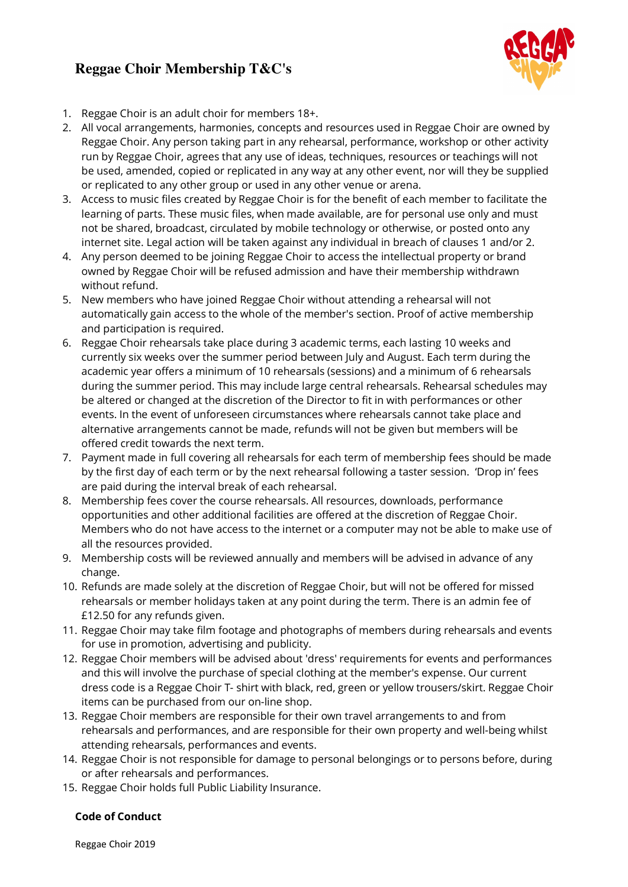# **Reggae Choir Membership T&C's**



- 1. Reggae Choir is an adult choir for members 18+.
- 2. All vocal arrangements, harmonies, concepts and resources used in Reggae Choir are owned by Reggae Choir. Any person taking part in any rehearsal, performance, workshop or other activity run by Reggae Choir, agrees that any use of ideas, techniques, resources or teachings will not be used, amended, copied or replicated in any way at any other event, nor will they be supplied or replicated to any other group or used in any other venue or arena.
- 3. Access to music files created by Reggae Choir is for the benefit of each member to facilitate the learning of parts. These music files, when made available, are for personal use only and must not be shared, broadcast, circulated by mobile technology or otherwise, or posted onto any internet site. Legal action will be taken against any individual in breach of clauses 1 and/or 2.
- 4. Any person deemed to be joining Reggae Choir to access the intellectual property or brand owned by Reggae Choir will be refused admission and have their membership withdrawn without refund.
- 5. New members who have joined Reggae Choir without attending a rehearsal will not automatically gain access to the whole of the member's section. Proof of active membership and participation is required.
- 6. Reggae Choir rehearsals take place during 3 academic terms, each lasting 10 weeks and currently six weeks over the summer period between July and August. Each term during the academic year offers a minimum of 10 rehearsals (sessions) and a minimum of 6 rehearsals during the summer period. This may include large central rehearsals. Rehearsal schedules may be altered or changed at the discretion of the Director to fit in with performances or other events. In the event of unforeseen circumstances where rehearsals cannot take place and alternative arrangements cannot be made, refunds will not be given but members will be offered credit towards the next term.
- 7. Payment made in full covering all rehearsals for each term of membership fees should be made by the first day of each term or by the next rehearsal following a taster session. 'Drop in' fees are paid during the interval break of each rehearsal.
- 8. Membership fees cover the course rehearsals. All resources, downloads, performance opportunities and other additional facilities are offered at the discretion of Reggae Choir. Members who do not have access to the internet or a computer may not be able to make use of all the resources provided.
- 9. Membership costs will be reviewed annually and members will be advised in advance of any change.
- 10. Refunds are made solely at the discretion of Reggae Choir, but will not be offered for missed rehearsals or member holidays taken at any point during the term. There is an admin fee of £12.50 for any refunds given.
- 11. Reggae Choir may take film footage and photographs of members during rehearsals and events for use in promotion, advertising and publicity.
- 12. Reggae Choir members will be advised about 'dress' requirements for events and performances and this will involve the purchase of special clothing at the member's expense. Our current dress code is a Reggae Choir T- shirt with black, red, green or yellow trousers/skirt. Reggae Choir items can be purchased from our on-line shop.
- 13. Reggae Choir members are responsible for their own travel arrangements to and from rehearsals and performances, and are responsible for their own property and well-being whilst attending rehearsals, performances and events.
- 14. Reggae Choir is not responsible for damage to personal belongings or to persons before, during or after rehearsals and performances.
- 15. Reggae Choir holds full Public Liability Insurance.

## **Code of Conduct**

Reggae Choir 2019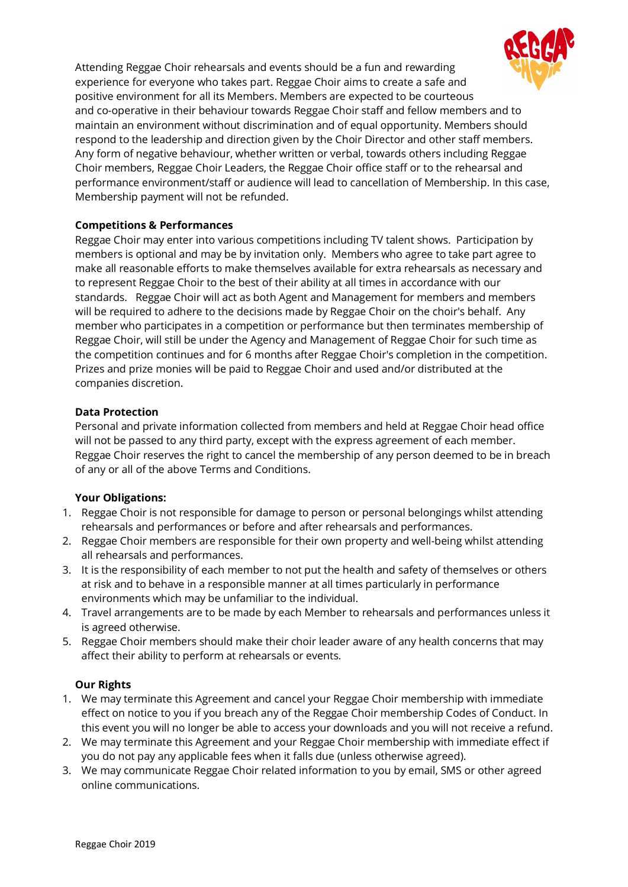

Attending Reggae Choir rehearsals and events should be a fun and rewarding experience for everyone who takes part. Reggae Choir aims to create a safe and positive environment for all its Members. Members are expected to be courteous and co-operative in their behaviour towards Reggae Choir staff and fellow members and to maintain an environment without discrimination and of equal opportunity. Members should respond to the leadership and direction given by the Choir Director and other staff members. Any form of negative behaviour, whether written or verbal, towards others including Reggae Choir members, Reggae Choir Leaders, the Reggae Choir office staff or to the rehearsal and performance environment/staff or audience will lead to cancellation of Membership. In this case, Membership payment will not be refunded.

## **Competitions & Performances**

Reggae Choir may enter into various competitions including TV talent shows. Participation by members is optional and may be by invitation only. Members who agree to take part agree to make all reasonable efforts to make themselves available for extra rehearsals as necessary and to represent Reggae Choir to the best of their ability at all times in accordance with our standards. Reggae Choir will act as both Agent and Management for members and members will be required to adhere to the decisions made by Reggae Choir on the choir's behalf. Any member who participates in a competition or performance but then terminates membership of Reggae Choir, will still be under the Agency and Management of Reggae Choir for such time as the competition continues and for 6 months after Reggae Choir's completion in the competition. Prizes and prize monies will be paid to Reggae Choir and used and/or distributed at the companies discretion.

## **Data Protection**

Personal and private information collected from members and held at Reggae Choir head office will not be passed to any third party, except with the express agreement of each member. Reggae Choir reserves the right to cancel the membership of any person deemed to be in breach of any or all of the above Terms and Conditions.

## **Your Obligations:**

- 1. Reggae Choir is not responsible for damage to person or personal belongings whilst attending rehearsals and performances or before and after rehearsals and performances.
- 2. Reggae Choir members are responsible for their own property and well-being whilst attending all rehearsals and performances.
- 3. It is the responsibility of each member to not put the health and safety of themselves or others at risk and to behave in a responsible manner at all times particularly in performance environments which may be unfamiliar to the individual.
- 4. Travel arrangements are to be made by each Member to rehearsals and performances unless it is agreed otherwise.
- 5. Reggae Choir members should make their choir leader aware of any health concerns that may affect their ability to perform at rehearsals or events.

## **Our Rights**

- 1. We may terminate this Agreement and cancel your Reggae Choir membership with immediate effect on notice to you if you breach any of the Reggae Choir membership Codes of Conduct. In this event you will no longer be able to access your downloads and you will not receive a refund.
- 2. We may terminate this Agreement and your Reggae Choir membership with immediate effect if you do not pay any applicable fees when it falls due (unless otherwise agreed).
- 3. We may communicate Reggae Choir related information to you by email, SMS or other agreed online communications.